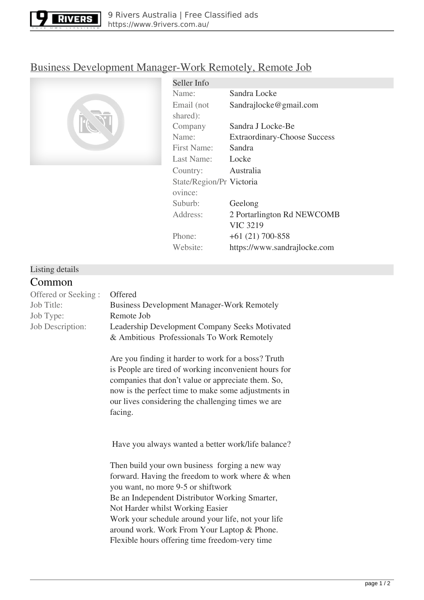

# [Business Development Manager-Work Remotely, Remote Job](https://www.9rivers.com.au/jobs/education/business-development-manager-work-remotely-remote-job-9705.html)



| Seller Info              |                                     |
|--------------------------|-------------------------------------|
| Name:                    | Sandra Locke                        |
| Email (not               | Sandrajlocke@gmail.com              |
| shared):                 |                                     |
| Company                  | Sandra J Locke-Be                   |
| Name:                    | <b>Extraordinary-Choose Success</b> |
| <b>First Name:</b>       | Sandra                              |
| Last Name:               | Locke                               |
| Country:                 | Australia                           |
| State/Region/Pr Victoria |                                     |
| ovince:                  |                                     |
| Suburb:                  | Geelong                             |
| Address:                 | 2 Portarlington Rd NEWCOMB          |
|                          | <b>VIC 3219</b>                     |
| Phone:                   | $+61(21)700-858$                    |
| Website:                 | https://www.sandrajlocke.com        |

### Listing details **Common**

| <b>COMMITMON</b>    |                                                                                                                                                                                                                                                                                                                                                                                       |
|---------------------|---------------------------------------------------------------------------------------------------------------------------------------------------------------------------------------------------------------------------------------------------------------------------------------------------------------------------------------------------------------------------------------|
| Offered or Seeking: | Offered                                                                                                                                                                                                                                                                                                                                                                               |
| Job Title:          | <b>Business Development Manager-Work Remotely</b>                                                                                                                                                                                                                                                                                                                                     |
| Job Type:           | Remote Job                                                                                                                                                                                                                                                                                                                                                                            |
| Job Description:    | Leadership Development Company Seeks Motivated<br>& Ambitious Professionals To Work Remotely                                                                                                                                                                                                                                                                                          |
|                     | Are you finding it harder to work for a boss? Truth<br>is People are tired of working inconvenient hours for<br>companies that don't value or appreciate them. So,<br>now is the perfect time to make some adjustments in<br>our lives considering the challenging times we are<br>facing.                                                                                            |
|                     | Have you always wanted a better work/life balance?                                                                                                                                                                                                                                                                                                                                    |
|                     | Then build your own business forging a new way<br>forward. Having the freedom to work where & when<br>you want, no more 9-5 or shiftwork<br>Be an Independent Distributor Working Smarter,<br>Not Harder whilst Working Easier<br>Work your schedule around your life, not your life<br>around work. Work From Your Laptop & Phone.<br>Flexible hours offering time freedom-very time |